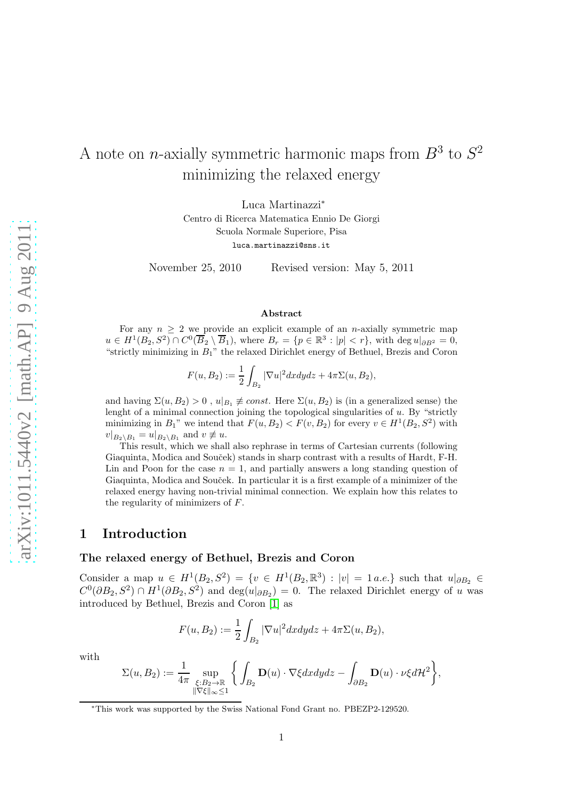# A note on *n*-axially symmetric harmonic maps from  $B^3$  to  $S^2$ minimizing the relaxed energy

Luca Martinazzi<sup>∗</sup> Centro di Ricerca Matematica Ennio De Giorgi Scuola Normale Superiore, Pisa luca.martinazzi@sns.it

November 25, 2010 Revised version: May 5, 2011

#### Abstract

For any  $n \geq 2$  we provide an explicit example of an *n*-axially symmetric map  $u \in H^1(B_2, S^2) \cap C^0(\overline{B}_2 \setminus \overline{B}_1)$ , where  $B_r = \{p \in \mathbb{R}^3 : |p| < r\}$ , with deg  $u|_{\partial B^2} = 0$ , "strictly minimizing in  $B_1$ " the relaxed Dirichlet energy of Bethuel, Brezis and Coron

$$
F(u, B_2) := \frac{1}{2} \int_{B_2} |\nabla u|^2 dx dy dz + 4\pi \Sigma(u, B_2),
$$

and having  $\Sigma(u, B_2) > 0$ ,  $u|_{B_1} \neq const.$  Here  $\Sigma(u, B_2)$  is (in a generalized sense) the lenght of a minimal connection joining the topological singularities of  $u$ . By "strictly minimizing in  $B_1$ " we intend that  $F(u, B_2) < F(v, B_2)$  for every  $v \in H^1(B_2, S^2)$  with  $v|_{B_2 \setminus B_1} = u|_{B_2 \setminus B_1}$  and  $v \not\equiv u$ .

This result, which we shall also rephrase in terms of Cartesian currents (following Giaquinta, Modica and Souček) stands in sharp contrast with a results of Hardt, F-H. Lin and Poon for the case  $n = 1$ , and partially answers a long standing question of Giaquinta, Modica and Souček. In particular it is a first example of a minimizer of the relaxed energy having non-trivial minimal connection. We explain how this relates to the regularity of minimizers of F.

# 1 Introduction

#### The relaxed energy of Bethuel, Brezis and Coron

Consider a map  $u \in H^1(B_2, S^2) = \{v \in H^1(B_2, \mathbb{R}^3) : |v| = 1 \text{ a.e.}\}$  such that  $u|_{\partial B_2} \in$  $C^0(\partial B_2, S^2) \cap H^1(\partial B_2, S^2)$  and  $\deg(u|_{\partial B_2}) = 0$ . The relaxed Dirichlet energy of u was introduced by Bethuel, Brezis and Coron [\[1\]](#page-15-0) as

$$
F(u, B_2) := \frac{1}{2} \int_{B_2} |\nabla u|^2 dx dy dz + 4\pi \Sigma(u, B_2),
$$

with

$$
\Sigma(u,B_2):=\frac{1}{4\pi}\sup_{\substack{\xi:B_2\to\mathbb{R}\\ \|\nabla\xi\|_{\infty}\leq 1}}\bigg\{\int_{B_2}\mathbf{D}(u)\cdot\nabla\xi dxdydz-\int_{\partial B_2}\mathbf{D}(u)\cdot\nu\xi d\mathcal{H}^2\bigg\},
$$

<sup>∗</sup>This work was supported by the Swiss National Fond Grant no. PBEZP2-129520.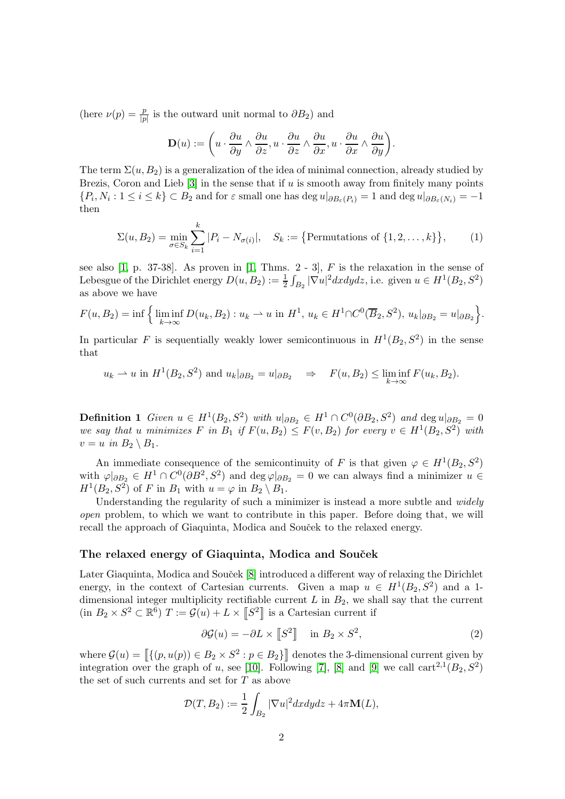(here  $\nu(p) = \frac{p}{|p|}$  is the outward unit normal to  $\partial B_2$ ) and

$$
\mathbf{D}(u) := \left(u \cdot \frac{\partial u}{\partial y} \wedge \frac{\partial u}{\partial z}, u \cdot \frac{\partial u}{\partial z} \wedge \frac{\partial u}{\partial x}, u \cdot \frac{\partial u}{\partial x} \wedge \frac{\partial u}{\partial y}\right).
$$

The term  $\Sigma(u, B_2)$  is a generalization of the idea of minimal connection, already studied by Brezis, Coron and Lieb  $[3]$  in the sense that if u is smooth away from finitely many points  $\{P_i, N_i : 1 \le i \le k\} \subset B_2$  and for  $\varepsilon$  small one has  $\deg u|_{\partial B_{\varepsilon}(P_i)} = 1$  and  $\deg u|_{\partial B_{\varepsilon}(N_i)} = -1$ then

<span id="page-1-1"></span>
$$
\Sigma(u, B_2) = \min_{\sigma \in S_k} \sum_{i=1}^k |P_i - N_{\sigma(i)}|, \quad S_k := \{ \text{Permutations of } \{1, 2, \dots, k\} \}, \tag{1}
$$

see also  $[1, p. 37-38]$ . As proven in  $[1, Thms. 2-3]$ , F is the relaxation in the sense of Lebesgue of the Dirichlet energy  $D(u, B_2) := \frac{1}{2} \int_{B_2} |\nabla u|^2 dx dy dz$ , i.e. given  $u \in H^1(B_2, S^2)$ as above we have

$$
F(u, B_2) = \inf \Big\{ \liminf_{k \to \infty} D(u_k, B_2) : u_k \to u \text{ in } H^1, u_k \in H^1 \cap C^0(\overline{B}_2, S^2), u_k|_{\partial B_2} = u|_{\partial B_2} \Big\}.
$$

In particular F is sequentially weakly lower semicontinuous in  $H^1(B_2, S^2)$  in the sense that

$$
u_k \rightharpoonup u
$$
 in  $H^1(B_2, S^2)$  and  $u_k|_{\partial B_2} = u|_{\partial B_2} \Rightarrow F(u, B_2) \le \liminf_{k \to \infty} F(u_k, B_2).$ 

<span id="page-1-2"></span>**Definition 1** Given  $u \in H^1(B_2, S^2)$  with  $u|_{\partial B_2} \in H^1 \cap C^0(\partial B_2, S^2)$  and  $\deg u|_{\partial B_2} = 0$ we say that u minimizes F in  $B_1$  if  $F(u, B_2) \leq F(v, B_2)$  for every  $v \in H^1(B_2, S^2)$  with  $v = u$  in  $B_2 \setminus B_1$ .

An immediate consequence of the semicontinuity of F is that given  $\varphi \in H^1(B_2, S^2)$ with  $\varphi|_{\partial B_2} \in H^1 \cap C^0(\partial B^2, S^2)$  and  $\deg \varphi|_{\partial B_2} = 0$  we can always find a minimizer  $u \in$  $H^1(B_2, S^2)$  of F in  $B_1$  with  $u = \varphi$  in  $B_2 \setminus B_1$ .

Understanding the regularity of such a minimizer is instead a more subtle and *widely* open problem, to which we want to contribute in this paper. Before doing that, we will recall the approach of Giaquinta, Modica and Souček to the relaxed energy.

## The relaxed energy of Giaquinta, Modica and Souček

Later Giaquinta, Modica and Souček [\[8\]](#page-15-2) introduced a different way of relaxing the Dirichlet energy, in the context of Cartesian currents. Given a map  $u \in H^1(B_2, S^2)$  and a 1dimensional integer multiplicity rectifiable current  $L$  in  $B_2$ , we shall say that the current  $(\text{in } B_2 \times S^2 \subset \mathbb{R}^6)$   $T := \mathcal{G}(u) + L \times [S^2]$  is a Cartesian current if

<span id="page-1-0"></span>
$$
\partial \mathcal{G}(u) = -\partial L \times [S^2] \quad \text{in } B_2 \times S^2,
$$
 (2)

where  $\mathcal{G}(u) = \left[ \{ (p, u(p)) \in B_2 \times S^2 : p \in B_2 \} \right]$  denotes the 3-dimensional current given by integration over the graph of u, see [\[10\]](#page-15-3). Following [\[7\]](#page-15-4), [\[8\]](#page-15-2) and [\[9\]](#page-15-5) we call  $\text{cart}^{2,1}(B_2, S^2)$ the set of such currents and set for T as above

$$
\mathcal{D}(T, B_2) := \frac{1}{2} \int_{B_2} |\nabla u|^2 dx dy dz + 4\pi \mathbf{M}(L),
$$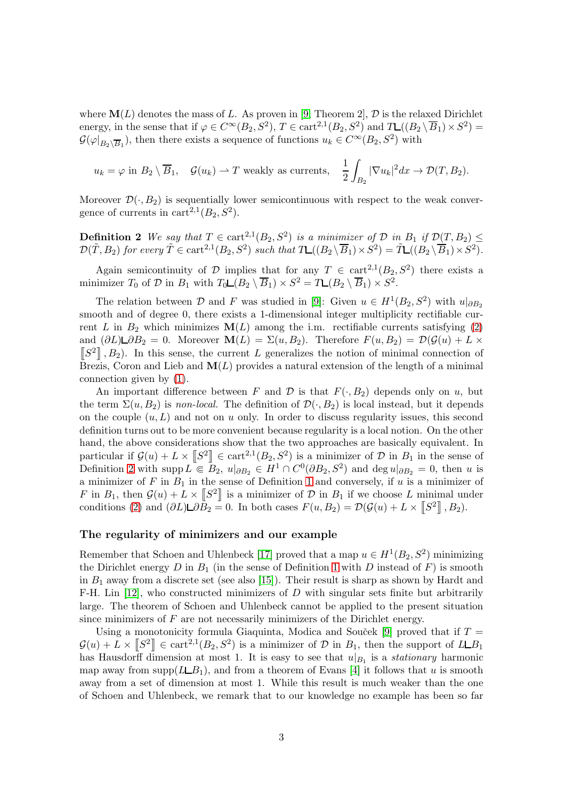where  $\mathbf{M}(L)$  denotes the mass of L. As proven in [\[9,](#page-15-5) Theorem 2],  $\mathcal{D}$  is the relaxed Dirichlet energy, in the sense that if  $\varphi \in C^{\infty}(B_2, S^2)$ ,  $T \in \text{cart}^{2,1}(B_2, S^2)$  and  $T_{\text{L}}((B_2 \setminus \overline{B}_1) \times S^2)$  $\mathcal{G}(\varphi|_{B_2 \setminus \overline{B}_1})$ , then there exists a sequence of functions  $u_k \in C^{\infty}(B_2, S^2)$  with

<span id="page-2-0"></span>
$$
u_k = \varphi
$$
 in  $B_2 \setminus \overline{B}_1$ ,  $\mathcal{G}(u_k) \rightharpoonup T$  weakly as currents,  $\frac{1}{2} \int_{B_2} |\nabla u_k|^2 dx \rightharpoonup \mathcal{D}(T, B_2)$ .

Moreover  $\mathcal{D}(\cdot, B_2)$  is sequentially lower semicontinuous with respect to the weak convergence of currents in  $\text{cart}^{2,1}(B_2, S^2)$ .

**Definition 2** We say that  $T \in \text{cart}^{2,1}(B_2, S^2)$  is a minimizer of  $D$  in  $B_1$  if  $\mathcal{D}(T, B_2) \leq$  $\mathcal{D}(\tilde{T}, B_2)$  for every  $\tilde{T} \in \text{cart}^{2,1}(B_2, S^2)$  such that  $T \mathcal{L}((B_2 \setminus \overline{B}_1) \times S^2) = \tilde{T} \mathcal{L}((B_2 \setminus \overline{B}_1) \times S^2)$ .

Again semicontinuity of D implies that for any  $T \in \text{cart}^{2,1}(B_2, S^2)$  there exists a minimizer  $T_0$  of  $D$  in  $B_1$  with  $T_0 \Box (B_2 \setminus \overline{B}_1) \times S^2 = T \Box (B_2 \setminus \overline{B}_1) \times S^2$ .

The relation between  $\mathcal D$  and  $F$  was studied in [\[9\]](#page-15-5): Given  $u \in H^1(B_2, S^2)$  with  $u|_{\partial B_2}$ smooth and of degree 0, there exists a 1-dimensional integer multiplicity rectifiable current L in  $B_2$  which minimizes  $\mathbf{M}(L)$  among the i.m. rectifiable currents satisfying [\(2\)](#page-1-0) and  $(\partial L) \Box \partial B_2 = 0$ . Moreover  $\mathbf{M}(L) = \Sigma(u, B_2)$ . Therefore  $F(u, B_2) = \mathcal{D}(\mathcal{G}(u) + L \times$  $[S^2]$ ,  $B_2$ ). In this sense, the current L generalizes the notion of minimal connection of Brezis, Coron and Lieb and  $\mathbf{M}(L)$  provides a natural extension of the length of a minimal connection given by [\(1\)](#page-1-1).

An important difference between F and D is that  $F(\cdot, B_2)$  depends only on u, but the term  $\Sigma(u, B_2)$  is non-local. The definition of  $\mathcal{D}(\cdot, B_2)$  is local instead, but it depends on the couple  $(u, L)$  and not on u only. In order to discuss regularity issues, this second definition turns out to be more convenient because regularity is a local notion. On the other hand, the above considerations show that the two approaches are basically equivalent. In particular if  $\mathcal{G}(u) + L \times \llbracket S^2 \rrbracket \in \text{cart}^{2,1}(B_2, S^2)$  is a minimizer of  $\mathcal{D}$  in  $B_1$  in the sense of Definition [2](#page-2-0) with supp  $L \in B_2$ ,  $u|_{\partial B_2} \in H^1 \cap C^0(\partial B_2, S^2)$  and  $\deg u|_{\partial B_2} = 0$ , then u is a minimizer of  $F$  in  $B_1$  in the sense of Definition [1](#page-1-2) and conversely, if u is a minimizer of F in  $B_1$ , then  $\mathcal{G}(u) + L \times [S^2]$  is a minimizer of D in  $B_1$  if we choose L minimal under conditions [\(2\)](#page-1-0) and  $(\partial L)\mathsf{L}\partial \overline{B_2} = 0$ . In both cases  $F(u, B_2) = \mathcal{D}(\mathcal{G}(u) + L \times [S^2], B_2)$ .

## The regularity of minimizers and our example

Remember that Schoen and Uhlenbeck [\[17\]](#page-15-6) proved that a map  $u \in H^1(B_2, S^2)$  minimizing the Dirichlet energy  $D$  in  $B_1$  (in the sense of Definition [1](#page-1-2) with  $D$  instead of  $F$ ) is smooth in  $B_1$  away from a discrete set (see also [\[15\]](#page-15-7)). Their result is sharp as shown by Hardt and F-H. Lin  $[12]$ , who constructed minimizers of D with singular sets finite but arbitrarily large. The theorem of Schoen and Uhlenbeck cannot be applied to the present situation since minimizers of  $F$  are not necessarily minimizers of the Dirichlet energy.

Using a monotonicity formula Giaquinta, Modica and Souček [\[9\]](#page-15-5) proved that if  $T =$  $\mathcal{G}(u) + L \times \llbracket S^2 \rrbracket \in \text{cart}^{2,1}(B_2, S^2)$  is a minimizer of  $\mathcal{D}$  in  $B_1$ , then the support of  $L\llcorner B_1$ has Hausdorff dimension at most 1. It is easy to see that  $u|_{B_1}$  is a *stationary* harmonic map away from supp( $L\&B_1$ ), and from a theorem of Evans [\[4\]](#page-15-9) it follows that u is smooth away from a set of dimension at most 1. While this result is much weaker than the one of Schoen and Uhlenbeck, we remark that to our knowledge no example has been so far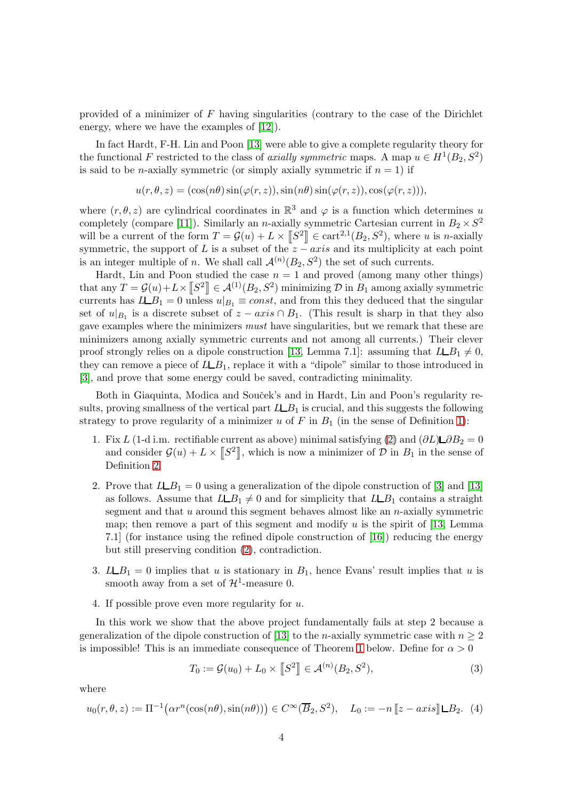provided of a minimizer of  $F$  having singularities (contrary to the case of the Dirichlet energy, where we have the examples of  $(12)$ .

In fact Hardt, F-H. Lin and Poon [\[13\]](#page-15-10) were able to give a complete regularity theory for the functional F restricted to the class of axially symmetric maps. A map  $u \in H^1(B_2, S^2)$ is said to be *n*-axially symmetric (or simply axially symmetric if  $n = 1$ ) if

$$
u(r, \theta, z) = (\cos(n\theta)\sin(\varphi(r, z)), \sin(n\theta)\sin(\varphi(r, z)), \cos(\varphi(r, z))),
$$

where  $(r, \theta, z)$  are cylindrical coordinates in  $\mathbb{R}^3$  and  $\varphi$  is a function which determines u completely (compare [\[11\]](#page-15-11)). Similarly an *n*-axially symmetric Cartesian current in  $B_2 \times S^2$ will be a current of the form  $T = \mathcal{G}(u) + L \times [\mathcal{S}^2] \in \text{cart}^{2,1}(B_2, S^2)$ , where u is n-axially symmetric, the support of L is a subset of the  $z - axis$  and its multiplicity at each point is an integer multiple of *n*. We shall call  $\mathcal{A}^{(n)}(B_2, S^2)$  the set of such currents.

Hardt, Lin and Poon studied the case  $n = 1$  and proved (among many other things) that any  $T = \mathcal{G}(u) + L \times [\![S^2]\!] \in \mathcal{A}^{(1)}(B_2, S^2)$  minimizing  $\mathcal{D}$  in  $B_1$  among axially symmetric currents has  $L \_B_1 = 0$  unless  $u|_{B_1} \equiv const$ , and from this they deduced that the singular set of  $u|_{B_1}$  is a discrete subset of  $z - axis \cap B_1$ . (This result is sharp in that they also gave examples where the minimizers must have singularities, but we remark that these are minimizers among axially symmetric currents and not among all currents.) Their clever proof strongly relies on a dipole construction [\[13,](#page-15-10) Lemma 7.1]: assuming that  $L\Box B_1 \neq 0$ , they can remove a piece of  $L\_{B_1}$ , replace it with a "dipole" similar to those introduced in [\[3\]](#page-15-1), and prove that some energy could be saved, contradicting minimality.

Both in Giaquinta, Modica and Souček's and in Hardt, Lin and Poon's regularity results, proving smallness of the vertical part  $LLB_1$  is crucial, and this suggests the following strategy to prove regularity of a minimizer u of  $F$  in  $B_1$  (in the sense of Definition [1\)](#page-1-2):

- 1. Fix L (1-d i.m. rectifiable current as above) minimal satisfying [\(2\)](#page-1-0) and  $(\partial L) \Box \partial B_2 = 0$ and consider  $\mathcal{G}(u) + L \times \llbracket S^2 \rrbracket$ , which is now a minimizer of  $\mathcal{D}$  in  $B_1$  in the sense of Definition [2.](#page-2-0)
- 2. Prove that  $LLB_1 = 0$  using a generalization of the dipole construction of [\[3\]](#page-15-1) and [\[13\]](#page-15-10) as follows. Assume that  $LLB_1 \neq 0$  and for simplicity that  $LLB_1$  contains a straight segment and that  $u$  around this segment behaves almost like an  $n$ -axially symmetric map; then remove a part of this segment and modify u is the spirit of [\[13,](#page-15-10) Lemma 7.1] (for instance using the refined dipole construction of [\[16\]](#page-15-12)) reducing the energy but still preserving condition [\(2\)](#page-1-0), contradiction.
- 3.  $LLB_1 = 0$  implies that u is stationary in  $B_1$ , hence Evans' result implies that u is smooth away from a set of  $\mathcal{H}^1$ -measure 0.
- 4. If possible prove even more regularity for u.

In this work we show that the above project fundamentally fails at step 2 because a generalization of the dipole construction of [\[13\]](#page-15-10) to the *n*-axially symmetric case with  $n \geq 2$ is impossible! This is an immediate consequence of Theorem [1](#page-4-0) below. Define for  $\alpha > 0$ 

<span id="page-3-0"></span>
$$
T_0 := \mathcal{G}(u_0) + L_0 \times [S^2] \in \mathcal{A}^{(n)}(B_2, S^2),
$$
\n(3)

where

<span id="page-3-1"></span>
$$
u_0(r,\theta,z) := \Pi^{-1}\big(\alpha r^n(\cos(n\theta),\sin(n\theta))\big) \in C^\infty(\overline{B}_2,S^2), \quad L_0 := -n[[z-axis]]\Box B_2. \tag{4}
$$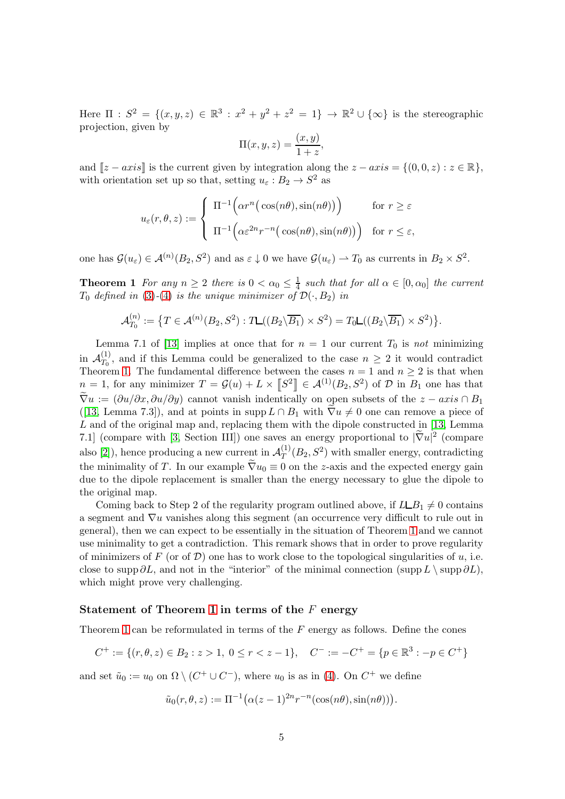Here  $\Pi$ :  $S^2 = \{(x, y, z) \in \mathbb{R}^3 : x^2 + y^2 + z^2 = 1\} \to \mathbb{R}^2 \cup \{\infty\}$  is the stereographic projection, given by

$$
\Pi(x, y, z) = \frac{(x, y)}{1 + z},
$$

and  $[z - axis]$  is the current given by integration along the  $z - axis = \{(0, 0, z) : z \in \mathbb{R}\},\$ with orientation set up so that, setting  $u_{\varepsilon}: B_2 \to S^2$  as

$$
u_{\varepsilon}(r,\theta,z) := \begin{cases} \Pi^{-1}\Big(\alpha r^{n}\big(\cos(n\theta),\sin(n\theta)\big)\Big) & \text{for } r \geq \varepsilon \\ \Pi^{-1}\Big(\alpha \varepsilon^{2n} r^{-n}\big(\cos(n\theta),\sin(n\theta)\big)\Big) & \text{for } r \leq \varepsilon, \end{cases}
$$

<span id="page-4-0"></span>one has  $\mathcal{G}(u_{\varepsilon}) \in \mathcal{A}^{(n)}(B_2, S^2)$  and as  $\varepsilon \downarrow 0$  we have  $\mathcal{G}(u_{\varepsilon}) \rightharpoonup T_0$  as currents in  $B_2 \times S^2$ .

**Theorem 1** For any  $n \geq 2$  there is  $0 < \alpha_0 \leq \frac{1}{4}$  $\frac{1}{4}$  such that for all  $\alpha \in [0, \alpha_0]$  the current  $T_0$  defined in [\(3\)](#page-3-0)-[\(4\)](#page-3-1) is the unique minimizer of  $\mathcal{D}(\cdot, B_2)$  in

$$
\mathcal{A}_{T_0}^{(n)} := \left\{ T \in \mathcal{A}^{(n)}(B_2, S^2) : T\mathcal{L}((B_2 \backslash \overline{B_1}) \times S^2) = T_0 \mathcal{L}((B_2 \backslash \overline{B_1}) \times S^2) \right\}.
$$

Lemma 7.1 of [\[13\]](#page-15-10) implies at once that for  $n = 1$  our current  $T_0$  is not minimizing in  $\mathcal{A}_{T_0}^{(1)}$  $T_0^{(1)}$ , and if this Lemma could be generalized to the case  $n \geq 2$  it would contradict Theorem [1.](#page-4-0) The fundamental difference between the cases  $n = 1$  and  $n \geq 2$  is that when  $n = 1$ , for any minimizer  $T = \mathcal{G}(u) + L \times \llbracket S^2 \rrbracket \in \mathcal{A}^{(1)}(B_2, S^2)$  of  $\mathcal D$  in  $B_1$  one has that  $\widetilde{\nabla}u := (\partial u/\partial x, \partial u/\partial y)$  cannot vanish indentically on open subsets of the  $z - axis \cap B_1$ ([\[13,](#page-15-10) Lemma 7.3]), and at points in supp $L \cap B_1$  with  $\nabla u \neq 0$  one can remove a piece of L and of the original map and, replacing them with the dipole constructed in [\[13,](#page-15-10) Lemma 7.1] (compare with [\[3,](#page-15-1) Section III]) one saves an energy proportional to  $|\tilde{\nabla}u|^2$  (compare also [\[2\]](#page-15-13)), hence producing a new current in  $\mathcal{A}_T^{(1)}$  $T^{(1)}(B_2, S^2)$  with smaller energy, contradicting the minimality of T. In our example  $\tilde{\nabla}u_0\equiv 0$  on the z-axis and the expected energy gain due to the dipole replacement is smaller than the energy necessary to glue the dipole to the original map.

Coming back to Step 2 of the regularity program outlined above, if  $LLB_1 \neq 0$  contains a segment and  $\nabla u$  vanishes along this segment (an occurrence very difficult to rule out in general), then we can expect to be essentially in the situation of Theorem [1](#page-4-0) and we cannot use minimality to get a contradiction. This remark shows that in order to prove regularity of minimizers of F (or of D) one has to work close to the topological singularities of u, i.e. close to supp  $\partial L$ , and not in the "interior" of the minimal connection (supp  $L \setminus \text{supp }\partial L$ ), which might prove very challenging.

### Statement of Theorem [1](#page-4-0) in terms of the  $F$  energy

Theorem [1](#page-4-0) can be reformulated in terms of the  $F$  energy as follows. Define the cones

$$
C^+ := \{ (r, \theta, z) \in B_2 : z > 1, 0 \le r < z - 1 \}, \quad C^- := -C^+ = \{ p \in \mathbb{R}^3 : -p \in C^+ \}
$$

and set  $\tilde{u}_0 := u_0$  on  $\Omega \setminus (C^+ \cup C^-)$ , where  $u_0$  is as in [\(4\)](#page-3-1). On  $C^+$  we define

$$
\tilde{u}_0(r,\theta,z) := \Pi^{-1}(\alpha(z-1)^{2n}r^{-n}(\cos(n\theta),\sin(n\theta))).
$$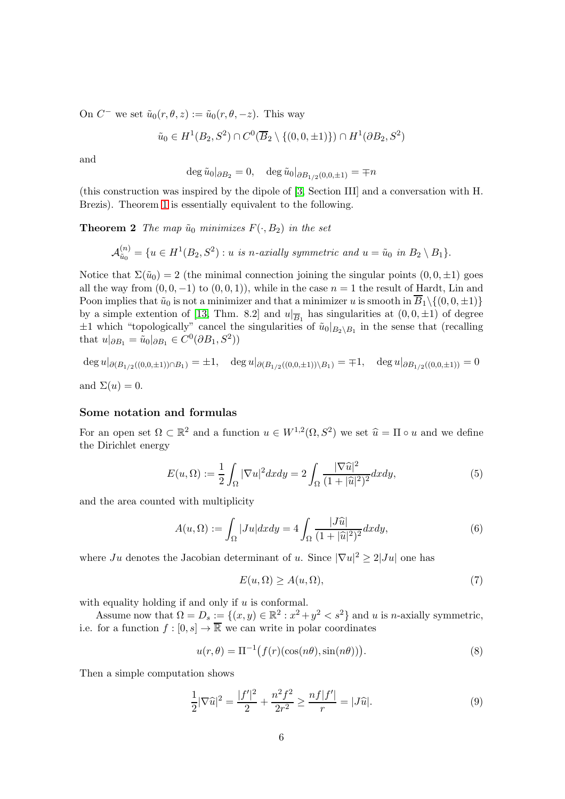On  $C^-$  we set  $\tilde{u}_0(r, \theta, z) := \tilde{u}_0(r, \theta, -z)$ . This way

$$
\tilde{u}_0 \in H^1(B_2, S^2) \cap C^0(\overline{B}_2 \setminus \{(0, 0, \pm 1)\}) \cap H^1(\partial B_2, S^2)
$$

and

<span id="page-5-6"></span>
$$
\deg \tilde{u}_0|_{\partial B_2} = 0, \quad \deg \tilde{u}_0|_{\partial B_{1/2}(0,0,\pm 1)} = \mp n
$$

(this construction was inspired by the dipole of [\[3,](#page-15-1) Section III] and a conversation with H. Brezis). Theorem [1](#page-4-0) is essentially equivalent to the following.

**Theorem 2** The map  $\tilde{u}_0$  minimizes  $F(\cdot, B_2)$  in the set

$$
\mathcal{A}_{\tilde{u}_0}^{(n)} = \{u \in H^1(B_2, S^2) : u \text{ is } n\text{-axially symmetric and } u = \tilde{u}_0 \text{ in } B_2 \setminus B_1\}.
$$

Notice that  $\Sigma(\tilde{u}_0) = 2$  (the minimal connection joining the singular points  $(0, 0, \pm 1)$  goes all the way from  $(0, 0, -1)$  to  $(0, 0, 1)$ , while in the case  $n = 1$  the result of Hardt, Lin and Poon implies that  $\tilde{u}_0$  is not a minimizer and that a minimizer u is smooth in  $\overline{B}_1\setminus\{(0,0,\pm 1)\}\$ by a simple extention of [\[13,](#page-15-10) Thm. 8.2] and  $u|_{\overline{B}_1}$  has singularities at  $(0,0,\pm 1)$  of degree  $\pm 1$  which "topologically" cancel the singularities of  $\tilde{u}_0|_{B_2\setminus B_1}$  in the sense that (recalling that  $u|_{\partial B_1} = \tilde{u}_0|_{\partial B_1} \in C^0(\partial B_1, S^2)$ 

$$
\deg u|_{\partial (B_{1/2}((0,0,\pm 1)) \cap B_1)} = \pm 1, \quad \deg u|_{\partial (B_{1/2}((0,0,\pm 1)) \setminus B_1)} = \mp 1, \quad \deg u|_{\partial B_{1/2}((0,0,\pm 1))} = 0
$$
  
and  $\Sigma(u) = 0$ .

## Some notation and formulas

For an open set  $\Omega \subset \mathbb{R}^2$  and a function  $u \in W^{1,2}(\Omega, S^2)$  we set  $\hat{u} = \Pi \circ u$  and we define the Dirichlet energy

<span id="page-5-5"></span>
$$
E(u,\Omega) := \frac{1}{2} \int_{\Omega} |\nabla u|^2 dx dy = 2 \int_{\Omega} \frac{|\nabla \widehat{u}|^2}{(1+|\widehat{u}|^2)^2} dx dy,
$$
 (5)

and the area counted with multiplicity

<span id="page-5-1"></span>
$$
A(u,\Omega) := \int_{\Omega} |Ju| dx dy = 4 \int_{\Omega} \frac{|J\widehat{u}|}{(1+|\widehat{u}|^2)^2} dx dy,
$$
\n(6)

where  $Ju$  denotes the Jacobian determinant of u. Since  $|\nabla u|^2 \ge 2|Ju|$  one has

<span id="page-5-3"></span>
$$
E(u,\Omega) \ge A(u,\Omega),\tag{7}
$$

with equality holding if and only if  $u$  is conformal.

Assume now that  $\Omega = D_s := \{(x, y) \in \mathbb{R}^2 : x^2 + y^2 < s^2\}$  and u is n-axially symmetric, i.e. for a function  $f : [0, s] \to \overline{\mathbb{R}}$  we can write in polar coordinates

<span id="page-5-0"></span>
$$
u(r,\theta) = \Pi^{-1}\big(f(r)(\cos(n\theta),\sin(n\theta))\big). \tag{8}
$$

<span id="page-5-4"></span>Then a simple computation shows

<span id="page-5-2"></span>
$$
\frac{1}{2}|\nabla \widehat{u}|^2 = \frac{|f'|^2}{2} + \frac{n^2f^2}{2r^2} \ge \frac{n f|f'|}{r} = |J\widehat{u}|.
$$
\n(9)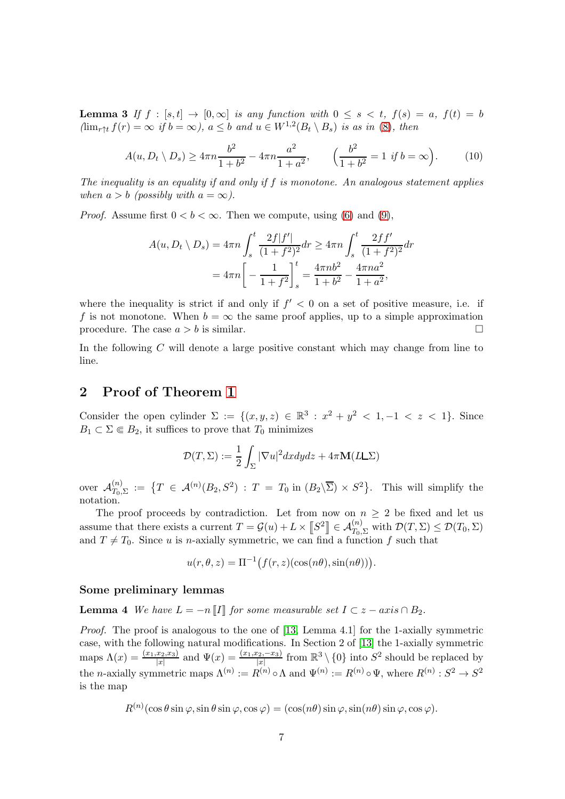**Lemma 3** If  $f : [s, t] \rightarrow [0, \infty]$  is any function with  $0 \le s \le t$ ,  $f(s) = a$ ,  $f(t) = b$  $(\lim_{r \uparrow t} f(r) = \infty \text{ if } b = \infty)$ ,  $a \leq b$  and  $u \in W^{1,2}(B_t \setminus B_s)$  is as in [\(8\)](#page-5-0), then

$$
A(u, D_t \setminus D_s) \ge 4\pi n \frac{b^2}{1+b^2} - 4\pi n \frac{a^2}{1+a^2}, \qquad \left(\frac{b^2}{1+b^2} = 1 \text{ if } b = \infty\right). \tag{10}
$$

The inequality is an equality if and only if  $f$  is monotone. An analogous statement applies when  $a > b$  (possibly with  $a = \infty$ ).

*Proof.* Assume first  $0 < b < \infty$ . Then we compute, using [\(6\)](#page-5-1) and [\(9\)](#page-5-2),

$$
A(u, D_t \setminus D_s) = 4\pi n \int_s^t \frac{2f|f'|}{(1+f^2)^2} dr \ge 4\pi n \int_s^t \frac{2ff'}{(1+f^2)^2} dr
$$
  
=  $4\pi n \left[ -\frac{1}{1+f^2} \right]_s^t = \frac{4\pi n b^2}{1+b^2} - \frac{4\pi n a^2}{1+a^2},$ 

where the inequality is strict if and only if  $f' < 0$  on a set of positive measure, i.e. if f is not monotone. When  $b = \infty$  the same proof applies, up to a simple approximation procedure. The case  $a > b$  is similar.

In the following C will denote a large positive constant which may change from line to line.

## 2 Proof of Theorem [1](#page-4-0)

Consider the open cylinder  $\Sigma := \{(x, y, z) \in \mathbb{R}^3 : x^2 + y^2 < 1, -1 < z < 1\}$ . Since  $B_1 \subset \Sigma \Subset B_2$ , it suffices to prove that  $T_0$  minimizes

$$
\mathcal{D}(T,\Sigma) := \frac{1}{2} \int_{\Sigma} |\nabla u|^2 dx dy dz + 4\pi \mathbf{M}(L\Sigma)
$$

over  $\mathcal{A}_{T_0,}^{(n)}$  $T_{T_0,\Sigma}^{(n)} := \{T \in \mathcal{A}^{(n)}(B_2,S^2) : T = T_0 \text{ in } (B_2\setminus\overline{\Sigma}) \times S^2\}.$  This will simplify the notation.

The proof proceeds by contradiction. Let from now on  $n \geq 2$  be fixed and let us assume that there exists a current  $T = \mathcal{G}(u) + L \times \llbracket S^2 \rrbracket \in \mathcal{A}_{T_0, \Sigma}^{(n)}$  with  $\mathcal{D}(T, \Sigma) \leq \mathcal{D}(T_0, \Sigma)$ and  $T \neq T_0$ . Since u is n-axially symmetric, we can find a function f such that

 $u(r, \theta, z) = \Pi^{-1}(f(r, z)(\cos(n\theta), \sin(n\theta))).$ 

### <span id="page-6-0"></span>Some preliminary lemmas

**Lemma 4** We have  $L = -n \llbracket I \rrbracket$  for some measurable set  $I \subset z - axis \cap B_2$ .

Proof. The proof is analogous to the one of [\[13,](#page-15-10) Lemma 4.1] for the 1-axially symmetric case, with the following natural modifications. In Section 2 of [\[13\]](#page-15-10) the 1-axially symmetric maps  $\Lambda(x) = \frac{(x_1, x_2, x_3)}{|x|}$  and  $\Psi(x) = \frac{(x_1, x_2, -x_3)}{|x|}$  from  $\mathbb{R}^3 \setminus \{0\}$  into  $S^2$  should be replaced by the *n*-axially symmetric maps  $\Lambda^{(n)} := R^{(n)} \circ \Lambda$  and  $\Psi^{(n)} := R^{(n)} \circ \Psi$ , where  $R^{(n)} : S^2 \to S^2$ is the map

$$
R^{(n)}(\cos\theta\sin\varphi,\sin\theta\sin\varphi,\cos\varphi)=(\cos(n\theta)\sin\varphi,\sin(n\theta)\sin\varphi,\cos\varphi).
$$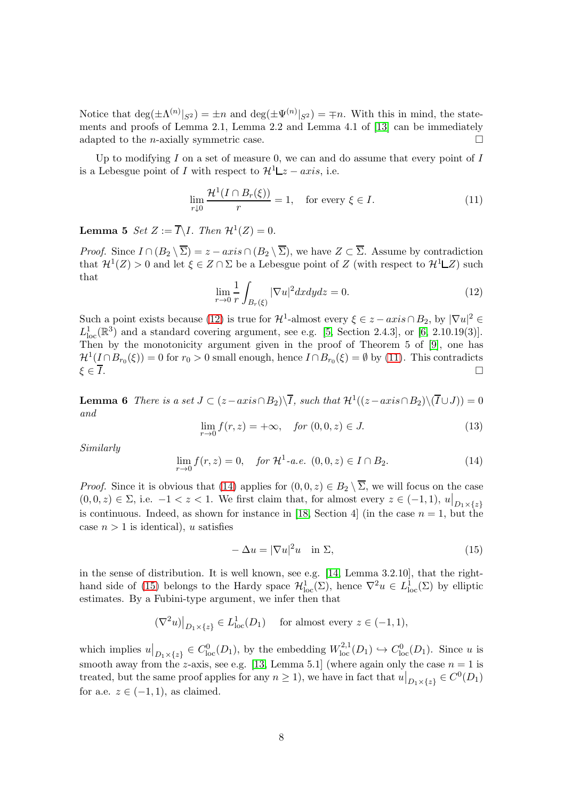Notice that  $\deg(\pm \Lambda^{(n)}|_{S^2}) = \pm n$  and  $\deg(\pm \Psi^{(n)}|_{S^2}) = \mp n$ . With this in mind, the statements and proofs of Lemma 2.1, Lemma 2.2 and Lemma 4.1 of [\[13\]](#page-15-10) can be immediately adapted to the *n*-axially symmetric case.

Up to modifying  $I$  on a set of measure 0, we can and do assume that every point of  $I$ is a Lebesgue point of I with respect to  $\mathcal{H}^1 \mathcal{L}z - axis$ , i.e.

<span id="page-7-1"></span>
$$
\lim_{r \downarrow 0} \frac{\mathcal{H}^1(I \cap B_r(\xi))}{r} = 1, \quad \text{for every } \xi \in I.
$$
 (11)

**Lemma 5** Set  $Z := \overline{I} \backslash I$ . Then  $\mathcal{H}^1(Z) = 0$ .

*Proof.* Since  $I \cap (B_2 \setminus \overline{\Sigma}) = z - axis \cap (B_2 \setminus \overline{\Sigma})$ , we have  $Z \subset \overline{\Sigma}$ . Assume by contradiction that  $\mathcal{H}^1(Z) > 0$  and let  $\xi \in Z \cap \Sigma$  be a Lebesgue point of Z (with respect to  $\mathcal{H}^1 \square Z$ ) such that

<span id="page-7-0"></span>
$$
\lim_{r \to 0} \frac{1}{r} \int_{B_r(\xi)} |\nabla u|^2 dx dy dz = 0.
$$
\n(12)

Such a point exists because [\(12\)](#page-7-0) is true for  $\mathcal{H}^1$ -almost every  $\xi \in z - axis \cap B_2$ , by  $|\nabla u|^2 \in$  $L_{\text{loc}}^1(\mathbb{R}^3)$  and a standard covering argument, see e.g. [\[5,](#page-15-14) Section 2.4.3], or [\[6,](#page-15-15) 2.10.19(3)]. Then by the monotonicity argument given in the proof of Theorem 5 of [\[9\]](#page-15-5), one has  $\mathcal{H}^1(\underline{I} \cap B_{r_0}(\xi)) = 0$  for  $r_0 > 0$  small enough, hence  $I \cap B_{r_0}(\xi) = \emptyset$  by [\(11\)](#page-7-1). This contradicts  $\xi \in \overline{I}$ .

<span id="page-7-5"></span>**Lemma 6** There is a set  $J \subset (z-axis \cap B_2) \setminus \overline{I}$ , such that  $\mathcal{H}^1((z-axis \cap B_2) \setminus (\overline{I} \cup J)) = 0$ and

<span id="page-7-4"></span>
$$
\lim_{r \to 0} f(r, z) = +\infty, \quad \text{for } (0, 0, z) \in J. \tag{13}
$$

Similarly

<span id="page-7-2"></span>
$$
\lim_{r \to 0} f(r, z) = 0, \quad \text{for } \mathcal{H}^1 \text{-}a.e. \ (0, 0, z) \in I \cap B_2. \tag{14}
$$

*Proof.* Since it is obvious that [\(14\)](#page-7-2) applies for  $(0, 0, z) \in B_2 \setminus \overline{\Sigma}$ , we will focus on the case  $(0,0,z) \in \Sigma$ , i.e.  $-1 < z < 1$ . We first claim that, for almost every  $z \in (-1,1)$ ,  $u|_{D_1 \times \{z\}}$ is continuous. Indeed, as shown for instance in [\[18,](#page-16-0) Section 4] (in the case  $n = 1$ , but the case  $n > 1$  is identical), u satisfies

<span id="page-7-3"></span>
$$
-\Delta u = |\nabla u|^2 u \quad \text{in } \Sigma,
$$
\n(15)

in the sense of distribution. It is well known, see e.g. [\[14,](#page-15-16) Lemma 3.2.10], that the right-hand side of [\(15\)](#page-7-3) belongs to the Hardy space  $\mathcal{H}^1_{loc}(\Sigma)$ , hence  $\nabla^2 u \in L^1_{loc}(\Sigma)$  by elliptic estimates. By a Fubini-type argument, we infer then that

$$
(\nabla^2 u)|_{D_1 \times \{z\}} \in L^1_{loc}(D_1) \quad \text{ for almost every } z \in (-1, 1),
$$

which implies  $u|_{D_1\times\{z\}}\in C^0_{loc}(D_1)$ , by the embedding  $W^{2,1}_{loc}(D_1)\hookrightarrow C^0_{loc}(D_1)$ . Since u is smooth away from the z-axis, see e.g. [\[13,](#page-15-10) Lemma 5.1] (where again only the case  $n = 1$  is treated, but the same proof applies for any  $n \geq 1$ , we have in fact that  $u|_{D_1 \times \{z\}} \in C^0(D_1)$ for a.e.  $z \in (-1,1)$ , as claimed.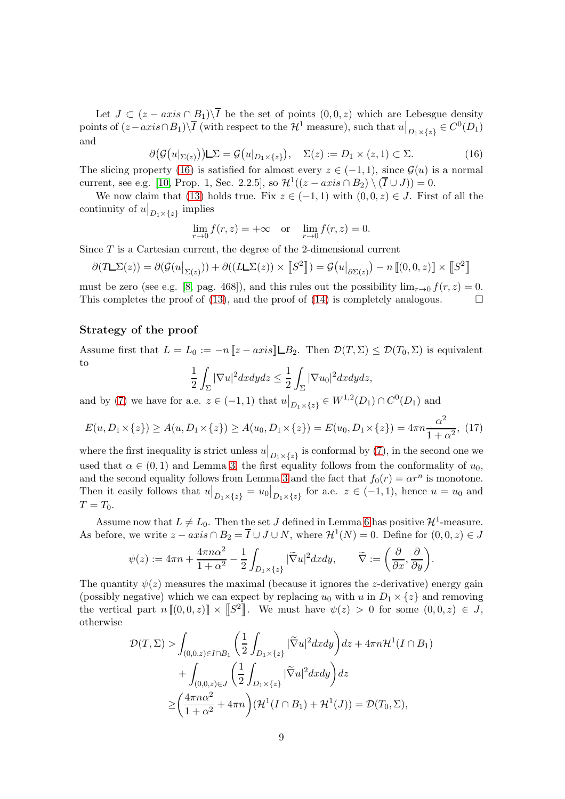Let  $J \subset (z - axis \cap B_1) \setminus \overline{I}$  be the set of points  $(0, 0, z)$  which are Lebesgue density points of  $(z - axis \cap B_1) \setminus \overline{I}$  (with respect to the  $\mathcal{H}^1$  measure), such that  $u|_{D_1 \times \{z\}} \in C^0(D_1)$ and

<span id="page-8-0"></span>
$$
\partial \big(\mathcal{G}\big(u|_{\Sigma(z)}\big)\big) \square \Sigma = \mathcal{G}\big(u|_{D_1 \times \{z\}}\big), \quad \Sigma(z) := D_1 \times (z, 1) \subset \Sigma. \tag{16}
$$

The slicing property [\(16\)](#page-8-0) is satisfied for almost every  $z \in (-1,1)$ , since  $\mathcal{G}(u)$  is a normal current, see e.g. [\[10,](#page-15-3) Prop. 1, Sec. 2.2.5], so  $\mathcal{H}^1((z-axiscap B_2) \setminus (\overline{I} \cup J)) = 0$ .

We now claim that [\(13\)](#page-7-4) holds true. Fix  $z \in (-1,1)$  with  $(0,0,z) \in J$ . First of all the continuity of  $u|_{D_1\times\{z\}}$  implies

$$
\lim_{r \to 0} f(r, z) = +\infty \text{ or } \lim_{r \to 0} f(r, z) = 0.
$$

Since T is a Cartesian current, the degree of the 2-dimensional current

$$
\partial(T\mathcal{L}\Sigma(z)) = \partial(\mathcal{G}(u|_{\Sigma(z)})) + \partial((L\mathcal{L}\Sigma(z)) \times [S^2]) = \mathcal{G}(u|_{\partial\Sigma(z)}) - n [(0,0,z)] \times [S^2]
$$

must be zero (see e.g. [\[8,](#page-15-2) pag. 468]), and this rules out the possibility  $\lim_{r\to 0} f(r, z) = 0$ . This completes the proof of [\(13\)](#page-7-4), and the proof of [\(14\)](#page-7-2) is completely analogous.  $\square$ 

## Strategy of the proof

Assume first that  $L = L_0 := -n ||z - axis|| \square B_2$ . Then  $\mathcal{D}(T, \Sigma) \leq \mathcal{D}(T_0, \Sigma)$  is equivalent to

$$
\frac{1}{2}\int_{\Sigma}|\nabla u|^2dxdydz \leq \frac{1}{2}\int_{\Sigma}|\nabla u_0|^2dxdydz,
$$

and by [\(7\)](#page-5-3) we have for a.e.  $z \in (-1,1)$  that  $u|_{D_1 \times \{z\}} \in W^{1,2}(D_1) \cap C^0(D_1)$  and

<span id="page-8-1"></span>
$$
E(u, D_1 \times \{z\}) \ge A(u, D_1 \times \{z\}) \ge A(u_0, D_1 \times \{z\}) = E(u_0, D_1 \times \{z\}) = 4\pi n \frac{\alpha^2}{1 + \alpha^2}, (17)
$$

where the first inequality is strict unless  $u|_{D_1\times\{z\}}$  is conformal by [\(7\)](#page-5-3), in the second one we used that  $\alpha \in (0,1)$  and Lemma [3,](#page-5-4) the first equality follows from the conformality of  $u_0$ , and the second equality follows from Lemma [3](#page-5-4) and the fact that  $f_0(r) = \alpha r^n$  is monotone. Then it easily follows that  $u|_{D_1\times\{z\}} = u_0|_{D_1\times\{z\}}$  for a.e.  $z \in (-1,1)$ , hence  $u = u_0$  and  $T = T_0$ .

Assume now that  $L \neq L_0$ . Then the set J defined in Lemma [6](#page-7-5) has positive  $\mathcal{H}^1$ -measure. As before, we write  $z - axis \cap B_2 = \overline{I} \cup J \cup N$ , where  $\mathcal{H}^1(N) = 0$ . Define for  $(0,0,z) \in J$ 

$$
\psi(z) := 4\pi n + \frac{4\pi n\alpha^2}{1+\alpha^2} - \frac{1}{2} \int_{D_1 \times \{z\}} |\widetilde{\nabla}u|^2 dx dy, \qquad \widetilde{\nabla} := \left(\frac{\partial}{\partial x}, \frac{\partial}{\partial y}\right).
$$

The quantity  $\psi(z)$  measures the maximal (because it ignores the *z*-derivative) energy gain (possibly negative) which we can expect by replacing  $u_0$  with u in  $D_1 \times \{z\}$  and removing the vertical part  $n[[0,0,z)] \times [S^2]$ . We must have  $\psi(z) > 0$  for some  $(0,0,z) \in J$ , otherwise

$$
\mathcal{D}(T,\Sigma) > \int_{(0,0,z)\in I\cap B_1} \left(\frac{1}{2}\int_{D_1\times\{z\}} |\widetilde{\nabla}u|^2 dxdy\right) dz + 4\pi n \mathcal{H}^1(I\cap B_1) \n+ \int_{(0,0,z)\in J} \left(\frac{1}{2}\int_{D_1\times\{z\}} |\widetilde{\nabla}u|^2 dxdy\right) dz \n\geq \left(\frac{4\pi n \alpha^2}{1+\alpha^2} + 4\pi n\right) (\mathcal{H}^1(I\cap B_1) + \mathcal{H}^1(J)) = \mathcal{D}(T_0,\Sigma),
$$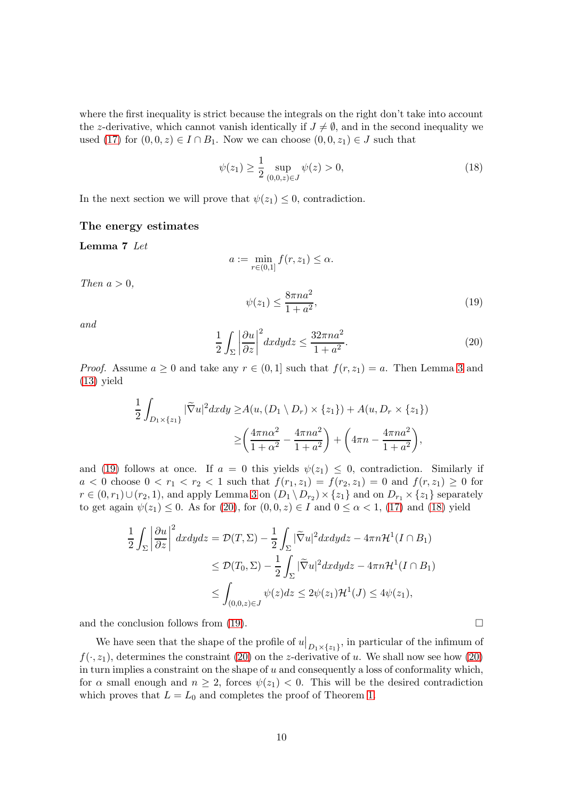where the first inequality is strict because the integrals on the right don't take into account the z-derivative, which cannot vanish identically if  $J \neq \emptyset$ , and in the second inequality we used [\(17\)](#page-8-1) for  $(0,0,z) \in I \cap B_1$ . Now we can choose  $(0,0,z_1) \in J$  such that

<span id="page-9-2"></span>
$$
\psi(z_1) \ge \frac{1}{2} \sup_{(0,0,z)\in J} \psi(z) > 0,
$$
\n(18)

In the next section we will prove that  $\psi(z_1) \leq 0$ , contradiction.

#### The energy estimates

Lemma 7 Let

$$
a := \min_{r \in (0,1]} f(r, z_1) \le \alpha.
$$

Then  $a > 0$ ,

<span id="page-9-0"></span>
$$
\psi(z_1) \le \frac{8\pi n a^2}{1 + a^2},\tag{19}
$$

and

<span id="page-9-1"></span>
$$
\frac{1}{2} \int_{\Sigma} \left| \frac{\partial u}{\partial z} \right|^2 dx dy dz \le \frac{32\pi n a^2}{1 + a^2}.
$$
\n(20)

*Proof.* Assume  $a \geq 0$  and take any  $r \in (0, 1]$  such that  $f(r, z_1) = a$ . Then Lemma [3](#page-5-4) and [\(13\)](#page-7-4) yield

$$
\frac{1}{2} \int_{D_1 \times \{z_1\}} |\widetilde{\nabla} u|^2 dx dy \ge A(u, (D_1 \setminus D_r) \times \{z_1\}) + A(u, D_r \times \{z_1\})
$$

$$
\ge \left(\frac{4\pi n\alpha^2}{1+\alpha^2} - \frac{4\pi n a^2}{1+a^2}\right) + \left(4\pi n - \frac{4\pi n a^2}{1+a^2}\right),
$$

and [\(19\)](#page-9-0) follows at once. If  $a = 0$  this yields  $\psi(z_1) \leq 0$ , contradiction. Similarly if  $a < 0$  choose  $0 < r_1 < r_2 < 1$  such that  $f(r_1, z_1) = f(r_2, z_1) = 0$  and  $f(r, z_1) \ge 0$  for  $r \in (0, r_1) \cup (r_2, 1)$ , and apply Lemma [3](#page-5-4) on  $(D_1 \setminus D_{r_2}) \times \{z_1\}$  and on  $D_{r_1} \times \{z_1\}$  separately to get again  $\psi(z_1) \leq 0$ . As for [\(20\)](#page-9-1), for  $(0,0,z) \in I$  and  $0 \leq \alpha < 1$ , [\(17\)](#page-8-1) and [\(18\)](#page-9-2) yield

$$
\frac{1}{2} \int_{\Sigma} \left| \frac{\partial u}{\partial z} \right|^2 dx dy dz = \mathcal{D}(T, \Sigma) - \frac{1}{2} \int_{\Sigma} |\tilde{\nabla}u|^2 dx dy dz - 4\pi n \mathcal{H}^1(I \cap B_1)
$$
  
\n
$$
\leq \mathcal{D}(T_0, \Sigma) - \frac{1}{2} \int_{\Sigma} |\tilde{\nabla}u|^2 dx dy dz - 4\pi n \mathcal{H}^1(I \cap B_1)
$$
  
\n
$$
\leq \int_{(0,0,z) \in J} \psi(z) dz \leq 2\psi(z_1) \mathcal{H}^1(J) \leq 4\psi(z_1),
$$

and the conclusion follows from [\(19\)](#page-9-0).  $\Box$ 

<span id="page-9-3"></span>We have seen that the shape of the profile of  $u|_{D_1\times \{z_1\}}$ , in particular of the infimum of  $f(\cdot, z_1)$ , determines the constraint [\(20\)](#page-9-1) on the z-derivative of u. We shall now see how (20) in turn implies a constraint on the shape of  $u$  and consequently a loss of conformality which, for  $\alpha$  small enough and  $n \geq 2$ , forces  $\psi(z_1) < 0$ . This will be the desired contradiction which proves that  $L = L_0$  and completes the proof of Theorem [1.](#page-4-0)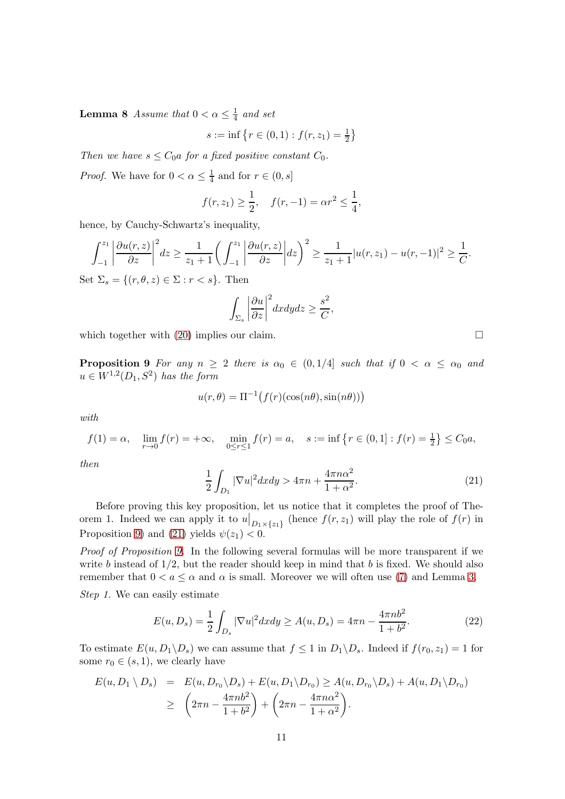**Lemma 8** Assume that  $0 < \alpha \leq \frac{1}{4}$  $rac{1}{4}$  and set

$$
s := \inf \left\{ r \in (0,1) : f(r, z_1) = \frac{1}{2} \right\}
$$

Then we have  $s \leq C_0 a$  for a fixed positive constant  $C_0$ .

*Proof.* We have for  $0 < \alpha \leq \frac{1}{4}$  $\frac{1}{4}$  and for  $r \in (0, s]$ 

$$
f(r, z_1) \ge \frac{1}{2}
$$
,  $f(r, -1) = \alpha r^2 \le \frac{1}{4}$ ,

hence, by Cauchy-Schwartz's inequality,

$$
\int_{-1}^{z_1} \left| \frac{\partial u(r, z)}{\partial z} \right|^2 dz \ge \frac{1}{z_1 + 1} \left( \int_{-1}^{z_1} \left| \frac{\partial u(r, z)}{\partial z} \right| dz \right)^2 \ge \frac{1}{z_1 + 1} |u(r, z_1) - u(r, -1)|^2 \ge \frac{1}{C}.
$$

Set  $\Sigma_s = \{(r, \theta, z) \in \Sigma : r < s\}.$  Then

$$
\int_{\Sigma_s} \left| \frac{\partial u}{\partial z} \right|^2 dx dy dz \geq \frac{s^2}{C},
$$

<span id="page-10-0"></span>which together with  $(20)$  implies our claim.

**Proposition 9** For any  $n \geq 2$  there is  $\alpha_0 \in (0, 1/4]$  such that if  $0 < \alpha \leq \alpha_0$  and  $u \in W^{1,2}(D_1, S^2)$  has the form

$$
u(r, \theta) = \Pi^{-1}(f(r)(\cos(n\theta), \sin(n\theta)))
$$

with

$$
f(1) = \alpha, \quad \lim_{r \to 0} f(r) = +\infty, \quad \min_{0 \le r \le 1} f(r) = a, \quad s := \inf \left\{ r \in (0, 1] : f(r) = \frac{1}{2} \right\} \le C_0 a,
$$

then

<span id="page-10-1"></span>
$$
\frac{1}{2} \int_{D_1} |\nabla u|^2 dx dy > 4\pi n + \frac{4\pi n\alpha^2}{1 + \alpha^2}.
$$
 (21)

Before proving this key proposition, let us notice that it completes the proof of Theorem 1. Indeed we can apply it to  $u|_{D_1\times \{z_1\}}$  (hence  $f(r, z_1)$  will play the role of  $f(r)$  in Proposition [9\)](#page-10-0) and [\(21\)](#page-10-1) yields  $\psi(z_1) < 0$ .

Proof of Proposition [9.](#page-10-0) In the following several formulas will be more transparent if we write b instead of  $1/2$ , but the reader should keep in mind that b is fixed. We should also remember that  $0 < a \leq \alpha$  and  $\alpha$  is small. Moreover we will often use [\(7\)](#page-5-3) and Lemma [3.](#page-5-4)

Step 1. We can easily estimate

<span id="page-10-2"></span>
$$
E(u, D_s) = \frac{1}{2} \int_{D_s} |\nabla u|^2 dx dy \ge A(u, D_s) = 4\pi n - \frac{4\pi n b^2}{1 + b^2}.
$$
 (22)

To estimate  $E(u, D_1 \backslash D_s)$  we can assume that  $f \leq 1$  in  $D_1 \backslash D_s$ . Indeed if  $f(r_0, z_1) = 1$  for some  $r_0 \in (s, 1)$ , we clearly have

$$
E(u, D_1 \setminus D_s) = E(u, D_{r_0} \setminus D_s) + E(u, D_1 \setminus D_{r_0}) \ge A(u, D_{r_0} \setminus D_s) + A(u, D_1 \setminus D_{r_0})
$$
  
 
$$
\ge \left(2\pi n - \frac{4\pi n b^2}{1 + b^2}\right) + \left(2\pi n - \frac{4\pi n \alpha^2}{1 + \alpha^2}\right).
$$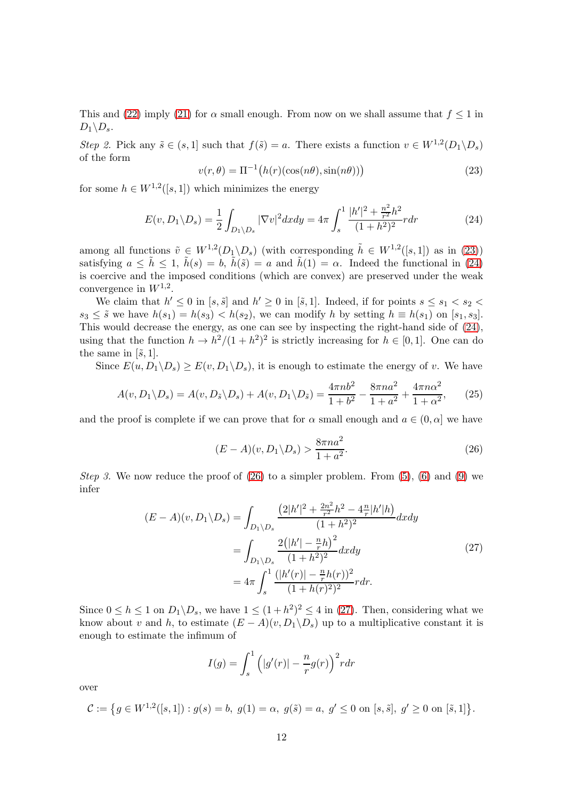This and [\(22\)](#page-10-2) imply [\(21\)](#page-10-1) for  $\alpha$  small enough. From now on we shall assume that  $f \leq 1$  in  $D_1\backslash D_s$ .

Step 2. Pick any  $\tilde{s} \in (s, 1]$  such that  $f(\tilde{s}) = a$ . There exists a function  $v \in W^{1,2}(D_1 \backslash D_s)$ of the form

<span id="page-11-0"></span>
$$
v(r,\theta) = \Pi^{-1}\big(h(r)(\cos(n\theta),\sin(n\theta))\big) \tag{23}
$$

for some  $h \in W^{1,2}([s,1])$  which minimizes the energy

<span id="page-11-1"></span>
$$
E(v, D_1 \backslash D_s) = \frac{1}{2} \int_{D_1 \backslash D_s} |\nabla v|^2 dx dy = 4\pi \int_s^1 \frac{|h'|^2 + \frac{n^2}{r^2} h^2}{(1 + h^2)^2} r dr \tag{24}
$$

among all functions  $\tilde{v} \in W^{1,2}(D_1 \backslash D_s)$  (with corresponding  $\tilde{h} \in W^{1,2}([s,1])$  as in [\(23\)](#page-11-0)) satisfying  $a \leq \tilde{h} \leq 1$ ,  $\tilde{h}(s) = b$ ,  $\tilde{h}(\tilde{s}) = a$  and  $\tilde{h}(1) = \alpha$ . Indeed the functional in [\(24\)](#page-11-1) is coercive and the imposed conditions (which are convex) are preserved under the weak convergence in  $W^{1,2}$ .

We claim that  $h' \leq 0$  in  $[s, \tilde{s}]$  and  $h' \geq 0$  in  $[\tilde{s}, 1]$ . Indeed, if for points  $s \leq s_1 < s_2$  $s_3 \leq \tilde{s}$  we have  $h(s_1) = h(s_3) < h(s_2)$ , we can modify h by setting  $h \equiv h(s_1)$  on  $[s_1, s_3]$ . This would decrease the energy, as one can see by inspecting the right-hand side of [\(24\)](#page-11-1), using that the function  $h \to h^2/(1 + h^2)^2$  is strictly increasing for  $h \in [0, 1]$ . One can do the same in  $[\tilde{s}, 1]$ .

Since  $E(u, D_1 \backslash D_s) \ge E(v, D_1 \backslash D_s)$ , it is enough to estimate the energy of v. We have

$$
A(v, D_1 \setminus D_s) = A(v, D_{\tilde{s}} \setminus D_s) + A(v, D_1 \setminus D_{\tilde{s}}) = \frac{4\pi n b^2}{1 + b^2} - \frac{8\pi n a^2}{1 + a^2} + \frac{4\pi n \alpha^2}{1 + \alpha^2},
$$
 (25)

and the proof is complete if we can prove that for  $\alpha$  small enough and  $a \in (0, \alpha]$  we have

<span id="page-11-2"></span>
$$
(E - A)(v, D_1 \backslash D_s) > \frac{8\pi n a^2}{1 + a^2}.
$$
\n(26)

*Step 3.* We now reduce the proof of  $(26)$  to a simpler problem. From  $(5)$ ,  $(6)$  and  $(9)$  we infer

$$
(E - A)(v, D_1 \setminus D_s) = \int_{D_1 \setminus D_s} \frac{\left(2|h'|^2 + \frac{2n^2}{r^2}h^2 - 4\frac{n}{r}|h'|h\right)}{(1 + h^2)^2} dx dy
$$
  
= 
$$
\int_{D_1 \setminus D_s} \frac{2\left(|h'| - \frac{n}{r}h\right)^2}{(1 + h^2)^2} dx dy
$$
  
= 
$$
4\pi \int_s^1 \frac{(|h'(r)| - \frac{n}{r}h(r))^2}{(1 + h(r)^2)^2} r dr.
$$
 (27)

<span id="page-11-3"></span>Since  $0 \le h \le 1$  on  $D_1 \backslash D_s$ , we have  $1 \le (1 + h^2)^2 \le 4$  in [\(27\)](#page-11-3). Then, considering what we know about v and h, to estimate  $(E - A)(v, D_1 \backslash D_s)$  up to a multiplicative constant it is enough to estimate the infimum of

$$
I(g) = \int_s^1 \left( |g'(r)| - \frac{n}{r} g(r) \right)^2 r dr
$$

over

$$
\mathcal{C} := \left\{ g \in W^{1,2}([s,1]) : g(s) = b, \ g(1) = \alpha, \ g(\tilde{s}) = a, \ g' \le 0 \text{ on } [s,\tilde{s}], \ g' \ge 0 \text{ on } [\tilde{s},1] \right\}.
$$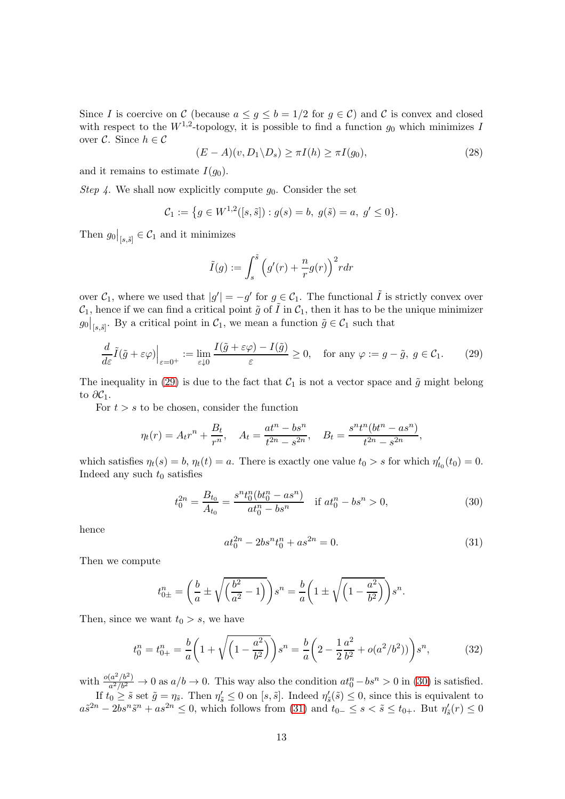Since I is coercive on C (because  $a \leq g \leq b = 1/2$  for  $g \in C$ ) and C is convex and closed with respect to the  $W^{1,2}$ -topology, it is possible to find a function  $g_0$  which minimizes I over  $\mathcal{C}$ . Since  $h \in \mathcal{C}$ 

<span id="page-12-4"></span>
$$
(E - A)(v, D_1 \backslash D_s) \ge \pi I(h) \ge \pi I(g_0),\tag{28}
$$

and it remains to estimate  $I(g_0)$ .

Step 4. We shall now explicitly compute  $g_0$ . Consider the set

$$
\mathcal{C}_1 := \{ g \in W^{1,2}([s,\tilde{s}]): g(s) = b, \ g(\tilde{s}) = a, \ g' \le 0 \}.
$$

Then  $g_0|_{[s,\tilde{s}]} \in \mathcal{C}_1$  and it minimizes

$$
\tilde{I}(g) := \int_s^{\tilde{s}} \left( g'(r) + \frac{n}{r} g(r) \right)^2 r dr
$$

over  $C_1$ , where we used that  $|g'| = -g'$  for  $g \in C_1$ . The functional  $\tilde{I}$  is strictly convex over  $\mathcal{C}_1$ , hence if we can find a critical point  $\tilde{g}$  of  $\tilde{I}$  in  $\mathcal{C}_1$ , then it has to be the unique minimizer  $g_0|_{[s,\tilde{s}]}$ . By a critical point in  $\mathcal{C}_1$ , we mean a function  $\tilde{g} \in \mathcal{C}_1$  such that

<span id="page-12-0"></span>
$$
\frac{d}{d\varepsilon}\tilde{I}(\tilde{g}+\varepsilon\varphi)\Big|_{\varepsilon=0^+} := \lim_{\varepsilon\downarrow 0} \frac{I(\tilde{g}+\varepsilon\varphi)-I(\tilde{g})}{\varepsilon} \ge 0, \quad \text{for any } \varphi := g-\tilde{g}, \ g \in \mathcal{C}_1. \tag{29}
$$

The inequality in [\(29\)](#page-12-0) is due to the fact that  $C_1$  is not a vector space and  $\tilde{g}$  might belong to  $\partial \mathcal{C}_1$ .

For  $t > s$  to be chosen, consider the function

$$
\eta_t(r) = A_t r^n + \frac{B_t}{r^n}, \quad A_t = \frac{at^n - bs^n}{t^{2n} - s^{2n}}, \quad B_t = \frac{s^n t^n (bt^n - as^n)}{t^{2n} - s^{2n}},
$$

which satisfies  $\eta_t(s) = b$ ,  $\eta_t(t) = a$ . There is exactly one value  $t_0 > s$  for which  $\eta'_{t_0}(t_0) = 0$ . Indeed any such  $t_0$  satisfies

<span id="page-12-1"></span>
$$
t_0^{2n} = \frac{B_{t_0}}{A_{t_0}} = \frac{s^n t_0^n (bt_0^n - as^n)}{at_0^n - bs^n} \quad \text{if } at_0^n - bs^n > 0,
$$
\n
$$
(30)
$$

hence

<span id="page-12-2"></span>
$$
at_0^{2n} - 2bs^n t_0^n + as^{2n} = 0.
$$
 (31)

Then we compute

$$
t_{0\pm}^{n} = \left(\frac{b}{a} \pm \sqrt{\left(\frac{b^{2}}{a^{2}} - 1\right)}\right)s^{n} = \frac{b}{a}\left(1 \pm \sqrt{\left(1 - \frac{a^{2}}{b^{2}}\right)}\right)s^{n}.
$$

Then, since we want  $t_0 > s$ , we have

<span id="page-12-3"></span>
$$
t_0^n = t_{0+}^n = \frac{b}{a} \left( 1 + \sqrt{\left( 1 - \frac{a^2}{b^2} \right)} \right) s^n = \frac{b}{a} \left( 2 - \frac{1}{2} \frac{a^2}{b^2} + o(a^2/b^2) \right) s^n, \tag{32}
$$

with  $\frac{o(a^2/b^2)}{a^2/b^2}$  $\frac{(a^2/b^2)}{a^2/b^2} \to 0$  as  $a/b \to 0$ . This way also the condition  $at_0^n - bs^n > 0$  in [\(30\)](#page-12-1) is satisfied. If  $t_0 \geq \tilde{s}$  set  $\tilde{g} = \eta_{\tilde{s}}$ . Then  $\eta'_{\tilde{s}} \leq 0$  on  $[s, \tilde{s}]$ . Indeed  $\eta'_{\tilde{s}}(\tilde{s}) \leq 0$ , since this is equivalent to

 $a\tilde{s}^{2n} - 2bs^n\tilde{s}^n + as^{2n} \leq 0$ , which follows from [\(31\)](#page-12-2) and  $t_{0-} \leq s < \tilde{s} \leq t_{0+}$ . But  $\eta'_{\tilde{s}}(r) \leq 0$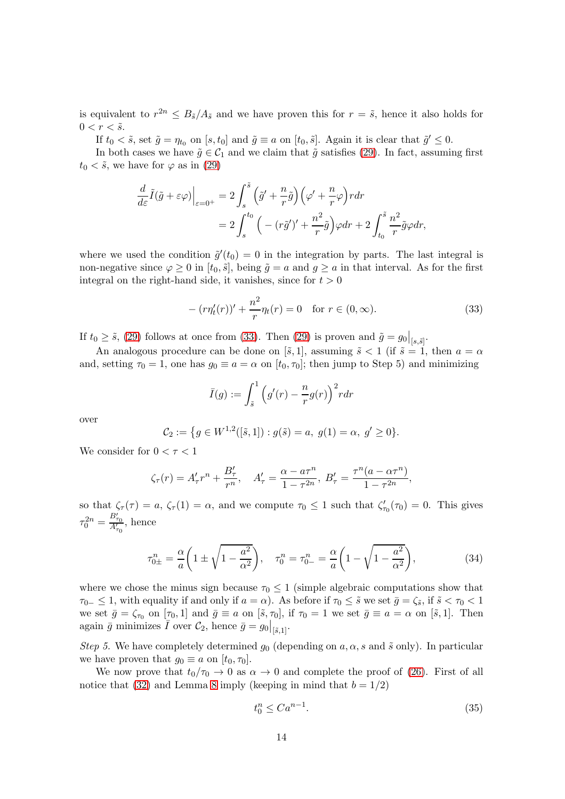is equivalent to  $r^{2n} \leq B_{\tilde{s}}/A_{\tilde{s}}$  and we have proven this for  $r = \tilde{s}$ , hence it also holds for  $0 < r < \tilde{s}$ .

If  $t_0 < \tilde{s}$ , set  $\tilde{g} = \eta_{t_0}$  on  $[s, t_0]$  and  $\tilde{g} \equiv a$  on  $[t_0, \tilde{s}]$ . Again it is clear that  $\tilde{g}' \leq 0$ .

In both cases we have  $\tilde{g} \in C_1$  and we claim that  $\tilde{g}$  satisfies [\(29\)](#page-12-0). In fact, assuming first  $t_0 < \tilde{s}$ , we have for  $\varphi$  as in [\(29\)](#page-12-0)

$$
\frac{d}{d\varepsilon}\tilde{I}(\tilde{g}+\varepsilon\varphi)\Big|_{\varepsilon=0^+} = 2\int_s^{\tilde{s}} \left(\tilde{g}'+\frac{n}{r}\tilde{g}\right)\left(\varphi'+\frac{n}{r}\varphi\right) r dr \n= 2\int_s^{t_0} \left(-\left(r\tilde{g}'\right)'+\frac{n^2}{r}\tilde{g}\right)\varphi dr + 2\int_{t_0}^{\tilde{s}} \frac{n^2}{r}\tilde{g}\varphi dr,
$$

where we used the condition  $\tilde{g}'(t_0) = 0$  in the integration by parts. The last integral is non-negative since  $\varphi \geq 0$  in  $[t_0, \tilde{s}]$ , being  $\tilde{g} = a$  and  $g \geq a$  in that interval. As for the first integral on the right-hand side, it vanishes, since for  $t > 0$ 

<span id="page-13-0"></span>
$$
-(r\eta_t'(r))' + \frac{n^2}{r}\eta_t(r) = 0 \quad \text{for } r \in (0, \infty).
$$
 (33)

If  $t_0 \geq \tilde{s}$ , [\(29\)](#page-12-0) follows at once from [\(33\)](#page-13-0). Then (29) is proven and  $\tilde{g} = g_0|_{[s,\tilde{s}]}$ .

An analogous procedure can be done on [ $\tilde{s}$ , 1], assuming  $\tilde{s}$  < 1 (if  $\tilde{s} = 1$ , then  $a = \alpha$ and, setting  $\tau_0 = 1$ , one has  $g_0 \equiv a = \alpha$  on  $[t_0, \tau_0]$ ; then jump to Step 5) and minimizing

$$
\bar{I}(g) := \int_{\tilde{s}}^1 \left( g'(r) - \frac{n}{r} g(r) \right)^2 r dr
$$

over

$$
C_2 := \{ g \in W^{1,2}([\tilde{s},1]) : g(\tilde{s}) = a, g(1) = \alpha, g' \ge 0 \}.
$$

We consider for  $0 < \tau < 1$ 

$$
\zeta_{\tau}(r) = A'_{\tau}r^{n} + \frac{B'_{\tau}}{r^{n}}, \quad A'_{\tau} = \frac{\alpha - a\tau^{n}}{1 - \tau^{2n}}, \ B'_{\tau} = \frac{\tau^{n}(a - \alpha\tau^{n})}{1 - \tau^{2n}},
$$

so that  $\zeta_{\tau}(\tau) = a$ ,  $\zeta_{\tau}(1) = \alpha$ , and we compute  $\tau_0 \leq 1$  such that  $\zeta'_{\tau_0}(\tau_0) = 0$ . This gives  $\tau_0^{2n} = \frac{B'_{\tau_0}}{A'_{\tau_0}}$ , hence

<span id="page-13-1"></span>
$$
\tau_{0\pm}^n = \frac{\alpha}{a} \left( 1 \pm \sqrt{1 - \frac{a^2}{\alpha^2}} \right), \quad \tau_0^n = \tau_{0-}^n = \frac{\alpha}{a} \left( 1 - \sqrt{1 - \frac{a^2}{\alpha^2}} \right),\tag{34}
$$

where we chose the minus sign because  $\tau_0 \leq 1$  (simple algebraic computations show that  $\tau_{0-} \leq 1$ , with equality if and only if  $a = \alpha$ ). As before if  $\tau_0 \leq \tilde{s}$  we set  $\bar{g} = \zeta_{\tilde{s}}$ , if  $\tilde{s} < \tau_0 < 1$ we set  $\bar{g} = \zeta_{\tau_0}$  on  $[\tau_0, 1]$  and  $\bar{g} \equiv a$  on  $[\tilde{s}, \tau_0]$ , if  $\tau_0 = 1$  we set  $\bar{g} \equiv a = \alpha$  on  $[\tilde{s}, 1]$ . Then again  $\bar{g}$  minimizes  $\bar{I}$  over  $\mathcal{C}_2$ , hence  $\bar{g} = g_0|_{\left[\bar{s},1\right]}$ .

Step 5. We have completely determined  $g_0$  (depending on  $a, \alpha, s$  and  $\tilde{s}$  only). In particular we have proven that  $q_0 \equiv a$  on  $[t_0, \tau_0]$ .

We now prove that  $t_0/\tau_0 \to 0$  as  $\alpha \to 0$  and complete the proof of [\(26\)](#page-11-2). First of all notice that [\(32\)](#page-12-3) and Lemma [8](#page-9-3) imply (keeping in mind that  $b = 1/2$ )

<span id="page-13-2"></span>
$$
t_0^n \leq Ca^{n-1}.\tag{35}
$$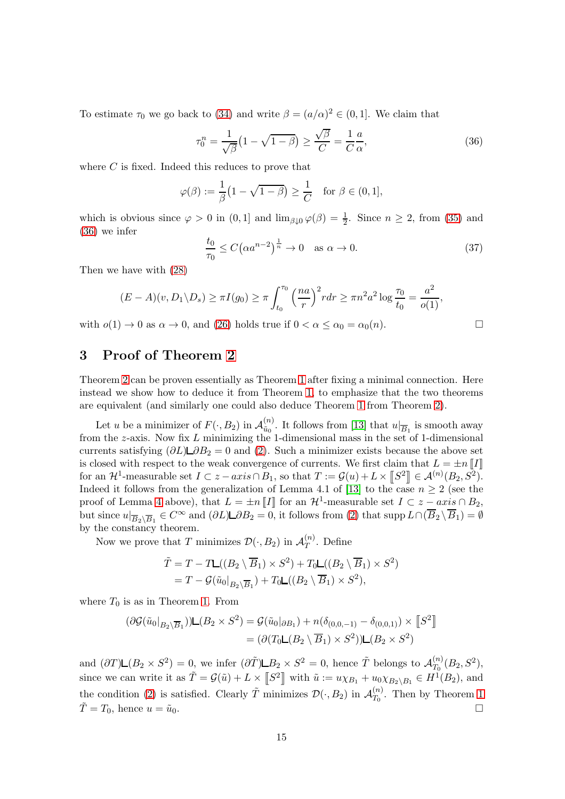To estimate  $\tau_0$  we go back to [\(34\)](#page-13-1) and write  $\beta = (a/\alpha)^2 \in (0,1]$ . We claim that

<span id="page-14-0"></span>
$$
\tau_0^n = \frac{1}{\sqrt{\beta}} \left( 1 - \sqrt{1 - \beta} \right) \ge \frac{\sqrt{\beta}}{C} = \frac{1}{C} \frac{a}{\alpha},\tag{36}
$$

where  $C$  is fixed. Indeed this reduces to prove that

$$
\varphi(\beta) := \frac{1}{\beta} \left( 1 - \sqrt{1 - \beta} \right) \ge \frac{1}{C} \quad \text{for } \beta \in (0, 1],
$$

which is obvious since  $\varphi > 0$  in  $(0, 1]$  and  $\lim_{\beta \downarrow 0} \varphi(\beta) = \frac{1}{2}$ . Since  $n \geq 2$ , from [\(35\)](#page-13-2) and [\(36\)](#page-14-0) we infer

$$
\frac{t_0}{\tau_0} \le C\left(\alpha a^{n-2}\right)^{\frac{1}{n}} \to 0 \quad \text{as } \alpha \to 0. \tag{37}
$$

Then we have with [\(28\)](#page-12-4)

$$
(E-A)(v, D_1 \backslash D_s) \ge \pi I(g_0) \ge \pi \int_{t_0}^{\tau_0} \left(\frac{na}{r}\right)^2 r dr \ge \pi n^2 a^2 \log \frac{\tau_0}{t_0} = \frac{a^2}{o(1)},
$$

with  $o(1) \to 0$  as  $\alpha \to 0$ , and [\(26\)](#page-11-2) holds true if  $0 < \alpha \leq \alpha_0 = \alpha_0(n)$ .

# 3 Proof of Theorem [2](#page-5-6)

Theorem [2](#page-5-6) can be proven essentially as Theorem [1](#page-4-0) after fixing a minimal connection. Here instead we show how to deduce it from Theorem [1,](#page-4-0) to emphasize that the two theorems are equivalent (and similarly one could also deduce Theorem [1](#page-4-0) from Theorem [2\)](#page-5-6).

Let u be a minimizer of  $F(\cdot, B_2)$  in  $\mathcal{A}_{\tilde{u}_0}^{(n)}$  $\frac{u^{(n)}}{\tilde{u}_0}$ . It follows from [\[13\]](#page-15-10) that  $u|_{\overline{B}_1}$  is smooth away from the z-axis. Now fix L minimizing the 1-dimensional mass in the set of 1-dimensional currents satisfying  $(\partial L) \Box \partial B_2 = 0$  and [\(2\)](#page-1-0). Such a minimizer exists because the above set is closed with respect to the weak convergence of currents. We first claim that  $L = \pm n \llbracket I \rrbracket$ for an  $\mathcal{H}^1$ -measurable set  $I \subset z-axis \cap B_1$ , so that  $T := \mathcal{G}(u) + L \times \llbracket S^2 \rrbracket \in \mathcal{A}^{(n)}(B_2, S^2)$ . Indeed it follows from the generalization of Lemma 4.1 of [\[13\]](#page-15-10) to the case  $n \geq 2$  (see the proof of Lemma [4](#page-6-0) above), that  $L = \pm n \llbracket I \rrbracket$  for an  $\mathcal{H}^1$ -measurable set  $I \subset z - axis \cap B_2$ , but since  $u|_{\overline{B}_2\setminus\overline{B}_1} \in C^{\infty}$  and  $(\partial L)\square \partial B_2 = 0$ , it follows from [\(2\)](#page-1-0) that supp  $L \cap (\overline{B}_2 \setminus \overline{B}_1) = \emptyset$ by the constancy theorem.

Now we prove that T minimizes  $\mathcal{D}(\cdot, B_2)$  in  $\mathcal{A}_T^{(n)}$  $T^{(n)}$ . Define

$$
\tilde{T} = T - T\mathsf{L}((B_2 \setminus \overline{B}_1) \times S^2) + T_0\mathsf{L}((B_2 \setminus \overline{B}_1) \times S^2)
$$
  
=  $T - \mathcal{G}(\tilde{u}_0|_{B_2 \setminus \overline{B}_1}) + T_0\mathsf{L}((B_2 \setminus \overline{B}_1) \times S^2),$ 

where  $T_0$  is as in Theorem [1.](#page-4-0) From

$$
(\partial \mathcal{G}(\tilde{u}_0|_{B_2 \setminus \overline{B}_1})) \mathsf{L}(B_2 \times S^2) = \mathcal{G}(\tilde{u}_0|_{\partial B_1}) + n(\delta_{(0,0,-1)} - \delta_{(0,0,1)}) \times [S^2]
$$
  
= 
$$
(\partial (T_0 \mathsf{L}(B_2 \setminus \overline{B}_1) \times S^2)) \mathsf{L}(B_2 \times S^2)
$$

and  $(\partial T)\mathsf{L}(B_2 \times S^2) = 0$ , we infer  $(\partial \tilde{T})\mathsf{L}B_2 \times S^2 = 0$ , hence  $\tilde{T}$  belongs to  $\mathcal{A}_{T_0}^{(n)}$  $T_0^{(n)}(B_2,S^2),$ since we can write it as  $\tilde{T} = \mathcal{G}(\tilde{u}) + L \times [S^2]$  with  $\tilde{u} := u \chi_{B_1} + u_0 \chi_{B_2 \setminus B_1} \in H^1(B_2)$ , and the condition [\(2\)](#page-1-0) is satisfied. Clearly  $\tilde{T}$  minimizes  $\mathcal{D}(\cdot, B_2)$  in  $\mathcal{A}_{T_0}^{(n)}$  $T_0^{(n)}$ . Then by Theorem [1](#page-4-0)  $\tilde{T} = T_0$ , hence  $u = \tilde{u}_0$ .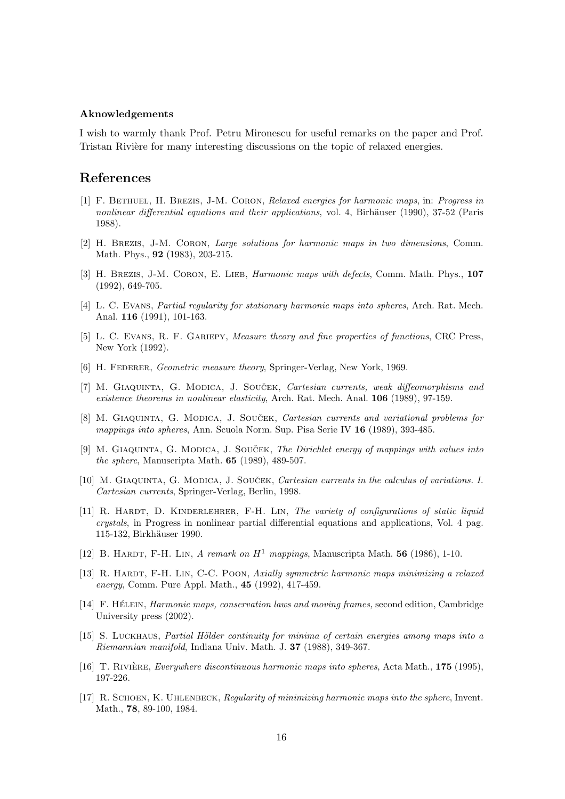#### Aknowledgements

I wish to warmly thank Prof. Petru Mironescu for useful remarks on the paper and Prof. Tristan Rivière for many interesting discussions on the topic of relaxed energies.

## <span id="page-15-0"></span>References

- [1] F. BETHUEL, H. BREZIS, J-M. CORON, Relaxed energies for harmonic maps, in: Progress in nonlinear differential equations and their applications, vol. 4, Birhäuser (1990), 37-52 (Paris 1988).
- <span id="page-15-13"></span>[2] H. Brezis, J-M. Coron, Large solutions for harmonic maps in two dimensions, Comm. Math. Phys., 92 (1983), 203-215.
- <span id="page-15-1"></span>[3] H. BREZIS, J-M. CORON, E. LIEB, *Harmonic maps with defects*, Comm. Math. Phys., 107 (1992), 649-705.
- <span id="page-15-9"></span>[4] L. C. EVANS, *Partial regularity for stationary harmonic maps into spheres*, Arch. Rat. Mech. Anal. 116 (1991), 101-163.
- <span id="page-15-14"></span>[5] L. C. Evans, R. F. Gariepy, Measure theory and fine properties of functions, CRC Press, New York (1992).
- <span id="page-15-15"></span><span id="page-15-4"></span>[6] H. FEDERER, Geometric measure theory, Springer-Verlag, New York, 1969.
- [7] M. GIAQUINTA, G. MODICA, J. SOUČEK, Cartesian currents, weak diffeomorphisms and existence theorems in nonlinear elasticity, Arch. Rat. Mech. Anal. 106 (1989), 97-159.
- <span id="page-15-2"></span>[8] M. GIAQUINTA, G. MODICA, J. SOUČEK, *Cartesian currents and variational problems for* mappings into spheres, Ann. Scuola Norm. Sup. Pisa Serie IV 16 (1989), 393-485.
- <span id="page-15-5"></span>[9] M. GIAQUINTA, G. MODICA, J. SOUCEK, The Dirichlet energy of mappings with values into the sphere, Manuscripta Math. 65 (1989), 489-507.
- <span id="page-15-3"></span>[10] M. GIAQUINTA, G. MODICA, J. SOUCEK, *Cartesian currents in the calculus of variations. I.* Cartesian currents, Springer-Verlag, Berlin, 1998.
- <span id="page-15-11"></span>[11] R. HARDT, D. KINDERLEHRER, F-H. LIN, The variety of configurations of static liquid crystals, in Progress in nonlinear partial differential equations and applications, Vol. 4 pag. 115-132, Birkhäuser 1990.
- <span id="page-15-10"></span><span id="page-15-8"></span>[12] B. HARDT, F-H. LIN, A remark on  $H^1$  mappings, Manuscripta Math. 56 (1986), 1-10.
- [13] R. HARDT, F-H. LIN, C-C. POON, Axially symmetric harmonic maps minimizing a relaxed energy, Comm. Pure Appl. Math., 45 (1992), 417-459.
- <span id="page-15-16"></span>[14] F. HÉLEIN, *Harmonic maps, conservation laws and moving frames,* second edition, Cambridge University press (2002).
- <span id="page-15-7"></span>[15] S. LUCKHAUS, Partial Hölder continuity for minima of certain energies among maps into a Riemannian manifold, Indiana Univ. Math. J. 37 (1988), 349-367.
- <span id="page-15-12"></span>[16] T. RIVIÈRE, *Everywhere discontinuous harmonic maps into spheres*, Acta Math., 175 (1995), 197-226.
- <span id="page-15-6"></span>[17] R. Schoen, K. Uhlenbeck, Regularity of minimizing harmonic maps into the sphere, Invent. Math., 78, 89-100, 1984.